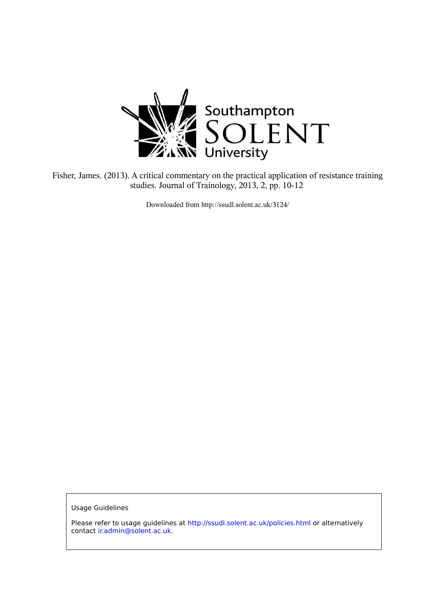

Fisher, James. (2013). A critical commentary on the practical application of resistance training studies. Journal of Trainology, 2013, 2, pp. 10-12

Downloaded from http://ssudl.solent.ac.uk/3124/

**Usage Guidelines** 

Please refer to usage guidelines at http://ssudl.solent.ac.uk/policies.html or alternatively contact ir.admin@solent.ac.uk.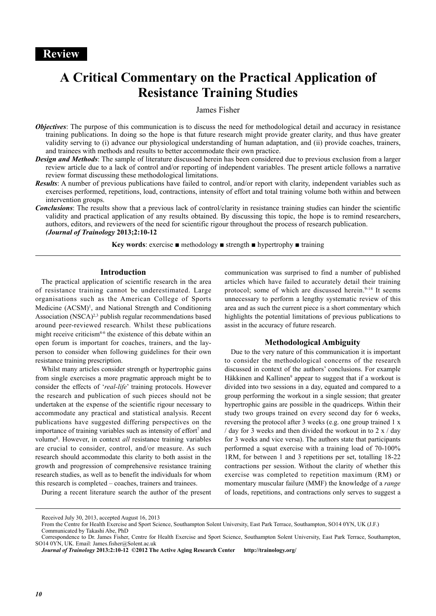# **A Critical Commentary on the Practical Application of Resistance Training Studies**

## James Fisher

- *Objectives:* The purpose of this communication is to discuss the need for methodological detail and accuracy in resistance training publications. In doing so the hope is that future research might provide greater clarity, and thus have greater validity serving to (i) advance our physiological understanding of human adaptation, and (ii) provide coaches, trainers, and trainees with methods and results to better accommodate their own practice.
- *Design and Methods*: The sample of literature discussed herein has been considered due to previous exclusion from a larger review article due to a lack of control and/or reporting of independent variables. The present article follows a narrative review format discussing these methodological limitations.
- *Results*: A number of previous publications have failed to control, and/or report with clarity, independent variables such as exercises performed, repetitions, load, contractions, intensity of effort and total training volume both within and between intervention groups.
- *Conclusions*: The results show that a previous lack of control/clarity in resistance training studies can hinder the scientific validity and practical application of any results obtained. By discussing this topic, the hope is to remind researchers, authors, editors, and reviewers of the need for scientific rigour throughout the process of research publication. *(Journal of Trainology* **2013;2:10-12**

**Key words:** exercise  $\blacksquare$  methodology  $\blacksquare$  strength  $\blacksquare$  hypertrophy  $\blacksquare$  training

## **Introduction**

The practical application of scientific research in the area of resistance training cannot be underestimated. Large organisations such as the American College of Sports Medicine (ACSM)<sup>1</sup>, and National Strength and Conditioning Association  $(NSCA)^{2,3}$  publish regular recommendations based around peer-reviewed research. Whilst these publications might receive criticism<sup>4-6</sup> the existence of this debate within an open forum is important for coaches, trainers, and the layperson to consider when following guidelines for their own resistance training prescription.

Whilst many articles consider strength or hypertrophic gains from single exercises a more pragmatic approach might be to consider the effects of '*real-life*' training protocols. However the research and publication of such pieces should not be undertaken at the expense of the scientific rigour necessary to accommodate any practical and statistical analysis. Recent publications have suggested differing perspectives on the importance of training variables such as intensity of effort<sup>7</sup> and volume<sup>8</sup> . However, in context *all* resistance training variables are crucial to consider, control, and/or measure. As such research should accommodate this clarity to both assist in the growth and progression of comprehensive resistance training research studies, as well as to benefit the individuals for whom this research is completed – coaches, trainers and trainees.

During a recent literature search the author of the present

communication was surprised to find a number of published articles which have failed to accurately detail their training protocol; some of which are discussed herein.<sup>9-14</sup> It seems unnecessary to perform a lengthy systematic review of this area and as such the current piece is a short commentary which highlights the potential limitations of previous publications to assist in the accuracy of future research.

#### **Methodological Ambiguity**

Due to the very nature of this communication it is important to consider the methodological concerns of the research discussed in context of the authors' conclusions. For example Häkkinen and Kallinen<sup>9</sup> appear to suggest that if a workout is divided into two sessions in a day, equated and compared to a group performing the workout in a single session; that greater hypertrophic gains are possible in the quadriceps. Within their study two groups trained on every second day for 6 weeks, reversing the protocol after 3 weeks (e.g. one group trained 1 x / day for 3 weeks and then divided the workout in to  $2 \times$  / day for 3 weeks and vice versa). The authors state that participants performed a squat exercise with a training load of 70-100% 1RM, for between 1 and 3 repetitions per set, totalling 18-22 contractions per session. Without the clarity of whether this exercise was completed to repetition maximum (RM) or momentary muscular failure (MMF) the knowledge of a *range* of loads, repetitions, and contractions only serves to suggest a

Received July 30, 2013, accepted August 16, 2013

From the Centre for Health Exercise and Sport Science, Southampton Solent University, East Park Terrace, Southampton, SO14 0YN, UK (J.F.) Communicated by Takashi Abe, PhD

Correspondence to Dr. James Fisher, Centre for Health Exercise and Sport Science, Southampton Solent University, East Park Terrace, Southampton, SO14 0YN, UK. Email: James.fisher@Solent.ac.uk

*Journal of Trainology* **2013:2:10-12 ©2012 The Active Aging Research Center http://trainology.org/**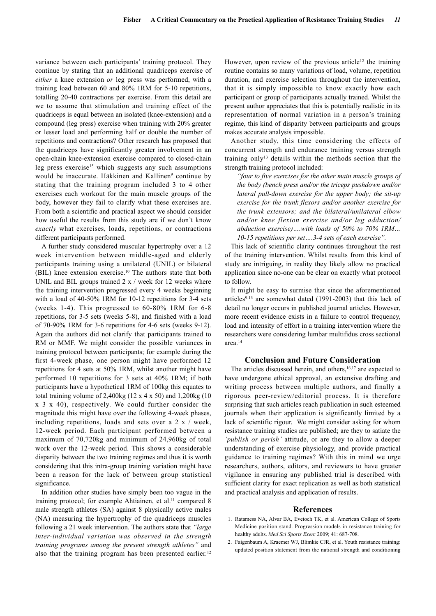variance between each participants' training protocol. They continue by stating that an additional quadriceps exercise of *either* a knee extension *or* leg press was performed, with a training load between 60 and 80% 1RM for 5-10 repetitions, totalling 20-40 contractions per exercise. From this detail are we to assume that stimulation and training effect of the quadriceps is equal between an isolated (knee-extension) and a compound (leg press) exercise when training with 20% greater or lesser load and performing half or double the number of repetitions and contractions? Other research has proposed that the quadriceps have significantly greater involvement in an open-chain knee-extension exercise compared to closed-chain leg press exercise<sup>15</sup> which suggests any such assumptions would be inaccurate. Häkkinen and Kallinen<sup>9</sup> continue by stating that the training program included 3 to 4 other exercises each workout for the main muscle groups of the body, however they fail to clarify what these exercises are. From both a scientific and practical aspect we should consider how useful the results from this study are if we don't know *exactly* what exercises, loads, repetitions, or contractions different participants performed.

A further study considered muscular hypertrophy over a 12 week intervention between middle-aged and elderly participants training using a unilateral (UNIL) or bilateral (BIL) knee extension exercise.<sup>10</sup> The authors state that both UNIL and BIL groups trained  $2 \times /$  week for 12 weeks where the training intervention progressed every 4 weeks beginning with a load of 40-50% 1RM for 10-12 repetitions for 3-4 sets (weeks 1-4). This progressed to 60-80% 1RM for 6-8 repetitions, for 3-5 sets (weeks 5-8), and finished with a load of 70-90% 1RM for 3-6 repetitions for 4-6 sets (weeks 9-12). Again the authors did not clarify that participants trained to RM or MMF. We might consider the possible variances in training protocol between participants; for example during the first 4-week phase, one person might have performed 12 repetitions for 4 sets at 50% 1RM, whilst another might have performed 10 repetitions for 3 sets at 40% 1RM; if both participants have a hypothetical 1RM of 100kg this equates to total training volume of 2,400kg (12 x 4 x 50) and 1,200kg (10 x 3 x 40), respectively. We could further consider the magnitude this might have over the following 4-week phases, including repetitions, loads and sets over a 2 x / week, 12-week period. Each participant performed between a maximum of 70,720kg and minimum of 24,960kg of total work over the 12-week period. This shows a considerable disparity between the two training regimes and thus it is worth considering that this intra-group training variation might have been a reason for the lack of between group statistical significance.

In addition other studies have simply been too vague in the training protocol; for example Ahtiainen, et al.<sup>11</sup> compared 8 male strength athletes (SA) against 8 physically active males (NA) measuring the hypertrophy of the quadriceps muscles following a 21 week intervention. The authors state that *"large inter-individual variation was observed in the strength training programs among the present strength athletes"* and also that the training program has been presented earlier.<sup>12</sup>

However, upon review of the previous article<sup>12</sup> the training routine contains so many variations of load, volume, repetition duration, and exercise selection throughout the intervention, that it is simply impossible to know exactly how each participant or group of participants actually trained. Whilst the present author appreciates that this is potentially realistic in its representation of normal variation in a person's training regime, this kind of disparity between participants and groups makes accurate analysis impossible.

Another study, this time considering the effects of concurrent strength and endurance training versus strength training only<sup>13</sup> details within the methods section that the strength training protocol included:

*"four to five exercises for the other main muscle groups of the body (bench press and/or the triceps pushdown and/or lateral pull-down exercise for the upper body; the sit-up exercise for the trunk flexors and/or another exercise for the trunk extensors; and the bilateral/unilateral elbow and/or knee flexion exercise and/or leg adduction/ abduction exercise)….with loads of 50% to 70% 1RM… 10-15 repetitions per set….3-4 sets of each exercise".*

This lack of scientific clarity continues throughout the rest of the training intervention. Whilst results from this kind of study are intriguing, in reality they likely allow no practical application since no-one can be clear on exactly what protocol to follow.

It might be easy to surmise that since the aforementioned articles $9-13$  are somewhat dated (1991-2003) that this lack of detail no longer occurs in published journal articles. However, more recent evidence exists in a failure to control frequency, load and intensity of effort in a training intervention where the researchers were considering lumbar multifidus cross sectional area.<sup>14</sup>

### **Conclusion and Future Consideration**

The articles discussed herein, and others, <sup>16,17</sup> are expected to have undergone ethical approval, an extensive drafting and writing process between multiple authors, and finally a rigorous peer-review/editorial process. It is therefore surprising that such articles reach publication in such esteemed journals when their application is significantly limited by a lack of scientific rigour. We might consider asking for whom resistance training studies are published; are they to satiate the *'publish or perish'* attitude, or are they to allow a deeper understanding of exercise physiology, and provide practical guidance to training regimes? With this in mind we urge researchers, authors, editors, and reviewers to have greater vigilance in ensuring any published trial is described with sufficient clarity for exact replication as well as both statistical and practical analysis and application of results.

#### **References**

- 1. Ratamess NA, Alvar BA, Evetoch TK, et al. American College of Sports Medicine position stand. Progression models in resistance training for healthy adults. *Med Sci Sports Exerc* 2009; 41: 687-708.
- 2. Faigenbaum A, Kraemer WJ, Blimkie CJR, et al. Youth resistance training: updated position statement from the national strength and conditioning